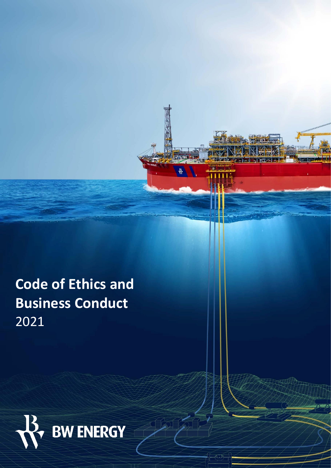**Code of Ethics and Business Conduct**  2021



 $\longrightarrow$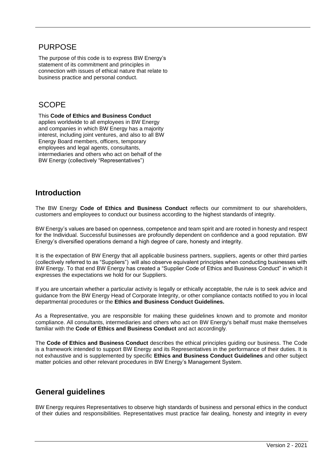## **PURPOSE**

The purpose of this code is to express BW Energy's statement of its commitment and principles in connection with issues of ethical nature that relate to business practice and personal conduct.

## **SCOPE**

This **Code of Ethics and Business Conduct** applies worldwide to all employees in BW Energy and companies in which BW Energy has a majority interest, including joint ventures, and also to all BW Energy Board members, officers, temporary employees and legal agents, consultants, intermediaries and others who act on behalf of the BW Energy (collectively "Representatives")

# **Introduction**

The BW Energy **Code of Ethics and Business Conduct** reflects our commitment to our shareholders, customers and employees to conduct our business according to the highest standards of integrity.

BW Energy's values are based on openness, competence and team spirit and are rooted in honesty and respect for the Individual. Successful businesses are profoundly dependent on confidence and a good reputation. BW Energy's diversified operations demand a high degree of care, honesty and integrity.

It is the expectation of BW Energy that all applicable business partners, suppliers, agents or other third parties (collectively referred to as "Suppliers") will also observe equivalent principles when conducting businesses with BW Energy. To that end BW Energy has created a "Supplier Code of Ethics and Business Conduct" in which it expresses the expectations we hold for our Suppliers.

If you are uncertain whether a particular activity is legally or ethically acceptable, the rule is to seek advice and guidance from the BW Energy Head of Corporate Integrity, or other compliance contacts notified to you in local departmental procedures or the **Ethics and Business Conduct Guidelines.**

As a Representative, you are responsible for making these guidelines known and to promote and monitor compliance. All consultants, intermediaries and others who act on BW Energy's behalf must make themselves familiar with the **Code of Ethics and Business Conduct** and act accordingly.

The **Code of Ethics and Business Conduct** describes the ethical principles guiding our business. The Code is a framework intended to support BW Energy and its Representatives in the performance of their duties. It is not exhaustive and is supplemented by specific **Ethics and Business Conduct Guidelines** and other subject matter policies and other relevant procedures in BW Energy's Management System.

# **General guidelines**

BW Energy requires Representatives to observe high standards of business and personal ethics in the conduct of their duties and responsibilities. Representatives must practice fair dealing, honesty and integrity in every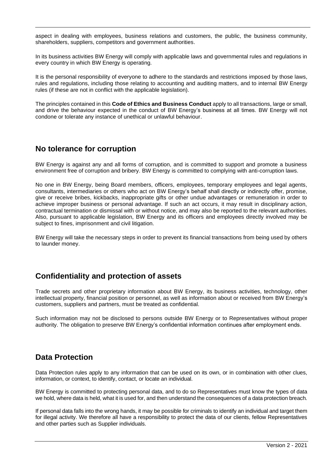aspect in dealing with employees, business relations and customers, the public, the business community, shareholders, suppliers, competitors and government authorities.

In its business activities BW Energy will comply with applicable laws and governmental rules and regulations in every country in which BW Energy is operating.

It is the personal responsibility of everyone to adhere to the standards and restrictions imposed by those laws, rules and regulations, including those relating to accounting and auditing matters, and to internal BW Energy rules (if these are not in conflict with the applicable legislation).

The principles contained in this **Code of Ethics and Business Conduct** apply to all transactions, large or small, and drive the behaviour expected in the conduct of BW Energy's business at all times. BW Energy will not condone or tolerate any instance of unethical or unlawful behaviour.

## **No tolerance for corruption**

BW Energy is against any and all forms of corruption, and is committed to support and promote a business environment free of corruption and bribery. BW Energy is committed to complying with anti-corruption laws.

No one in BW Energy, being Board members, officers, employees, temporary employees and legal agents, consultants, intermediaries or others who act on BW Energy's behalf shall directly or indirectly offer, promise, give or receive bribes, kickbacks, inappropriate gifts or other undue advantages or remuneration in order to achieve improper business or personal advantage. If such an act occurs, it may result in disciplinary action, contractual termination or dismissal with or without notice, and may also be reported to the relevant authorities. Also, pursuant to applicable legislation, BW Energy and its officers and employees directly involved may be subject to fines, imprisonment and civil litigation.

BW Energy will take the necessary steps in order to prevent its financial transactions from being used by others to launder money.

# **Confidentiality and protection of assets**

Trade secrets and other proprietary information about BW Energy, its business activities, technology, other intellectual property, financial position or personnel, as well as information about or received from BW Energy's customers, suppliers and partners, must be treated as confidential.

Such information may not be disclosed to persons outside BW Energy or to Representatives without proper authority. The obligation to preserve BW Energy's confidential information continues after employment ends.

#### **Data Protection**

Data Protection rules apply to any information that can be used on its own, or in combination with other clues, information, or context, to identify, contact, or locate an individual.

BW Energy is committed to protecting personal data, and to do so Representatives must know the types of data we hold, where data is held, what it is used for, and then understand the consequences of a data protection breach.

If personal data falls into the wrong hands, it may be possible for criminals to identify an individual and target them for illegal activity. We therefore all have a responsibility to protect the data of our clients, fellow Representatives and other parties such as Supplier individuals.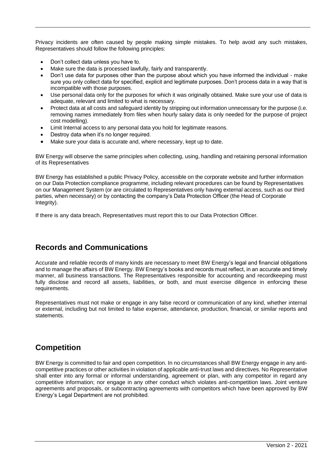Privacy incidents are often caused by people making simple mistakes. To help avoid any such mistakes, Representatives should follow the following principles:

- Don't collect data unless you have to.
- Make sure the data is processed lawfully, fairly and transparently.
- Don't use data for purposes other than the purpose about which you have informed the individual make sure you only collect data for specified, explicit and legitimate purposes. Don't process data in a way that is incompatible with those purposes.
- Use personal data only for the purposes for which it was originally obtained. Make sure your use of data is adequate, relevant and limited to what is necessary.
- Protect data at all costs and safeguard identity by stripping out information unnecessary for the purpose (i.e. removing names immediately from files when hourly salary data is only needed for the purpose of project cost modelling).
- Limit Internal access to any personal data you hold for legitimate reasons.
- Destroy data when it's no longer required.
- Make sure your data is accurate and, where necessary, kept up to date.

BW Energy will observe the same principles when collecting, using, handling and retaining personal information of its Representatives

BW Energy has established a public Privacy Policy, accessible on the corporate website and further information on our Data Protection compliance programme, including relevant procedures can be found by Representatives on our Management System (or are circulated to Representatives only having external access, such as our third parties, when necessary) or by contacting the company's Data Protection Officer (the Head of Corporate Integrity).

If there is any data breach, Representatives must report this to our Data Protection Officer.

# **Records and Communications**

Accurate and reliable records of many kinds are necessary to meet BW Energy's legal and financial obligations and to manage the affairs of BW Energy. BW Energy's books and records must reflect, in an accurate and timely manner, all business transactions. The Representatives responsible for accounting and recordkeeping must fully disclose and record all assets, liabilities, or both, and must exercise diligence in enforcing these requirements.

Representatives must not make or engage in any false record or communication of any kind, whether internal or external, including but not limited to false expense, attendance, production, financial, or similar reports and statements.

# **Competition**

BW Energy is committed to fair and open competition. In no circumstances shall BW Energy engage in any anticompetitive practices or other activities in violation of applicable anti-trust laws and directives. No Representative shall enter into any formal or informal understanding, agreement or plan, with any competitor in regard any competitive information; nor engage in any other conduct which violates anti-competition laws. Joint venture agreements and proposals, or subcontracting agreements with competitors which have been approved by BW Energy's Legal Department are not prohibited.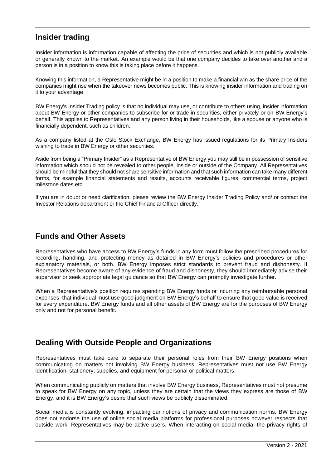## **Insider trading**

Insider information is information capable of affecting the price of securities and which is not publicly available or generally known to the market. An example would be that one company decides to take over another and a person is in a position to know this is taking place before it happens.

Knowing this information, a Representative might be in a position to make a financial win as the share price of the companies might rise when the takeover news becomes public. This is knowing insider information and trading on it to your advantage.

BW Energy's Insider Trading policy is that no individual may use, or contribute to others using, insider information about BW Energy or other companies to subscribe for or trade in securities, either privately or on BW Energy's behalf. This applies to Representatives and any person living in their households, like a spouse or anyone who is financially dependent, such as children.

As a company listed at the Oslo Stock Exchange, BW Energy has issued regulations for its Primary Insiders wishing to trade in BW Energy or other securities.

Aside from being a "Primary Insider" as a Representative of BW Energy you may still be in possession of sensitive information which should not be revealed to other people, inside or outside of the Company. All Representatives should be mindful that they should not share sensitive information and that such information can take many different forms, for example financial statements and results, accounts receivable figures, commercial terms, project milestone dates etc.

If you are in doubt or need clarification, please review the BW Energy Insider Trading Policy and/ or contact the Investor Relations department or the Chief Financial Officer directly.

# **Funds and Other Assets**

Representatives who have access to BW Energy's funds in any form must follow the prescribed procedures for recording, handling, and protecting money as detailed in BW Energy's policies and procedures or other explanatory materials, or both. BW Energy imposes strict standards to prevent fraud and dishonesty. If Representatives become aware of any evidence of fraud and dishonesty, they should immediately advise their supervisor or seek appropriate legal guidance so that BW Energy can promptly investigate further.

When a Representative's position requires spending BW Energy funds or incurring any reimbursable personal expenses, that individual must use good judgment on BW Energy's behalf to ensure that good value is received for every expenditure. BW Energy funds and all other assets of BW Energy are for the purposes of BW Energy only and not for personal benefit.

# **Dealing With Outside People and Organizations**

Representatives must take care to separate their personal roles from their BW Energy positions when communicating on matters not involving BW Energy business. Representatives must not use BW Energy identification, stationery, supplies, and equipment for personal or political matters.

When communicating publicly on matters that involve BW Energy business, Representatives must not presume to speak for BW Energy on any topic, unless they are certain that the views they express are those of BW Energy, and it is BW Energy's desire that such views be publicly disseminated.

Social media is constantly evolving, impacting our notions of privacy and communication norms. BW Energy does not endorse the use of online social media platforms for professional purposes however respects that outside work, Representatives may be active users. When interacting on social media, the privacy rights of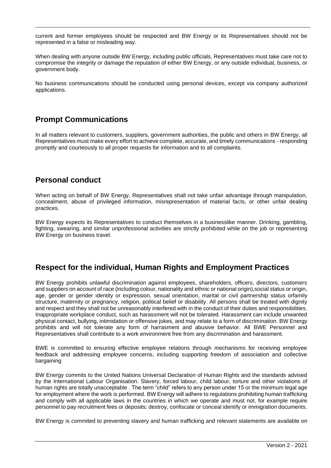current and former employees should be respected and BW Energy or its Representatives should not be represented in a false or misleading way.

When dealing with anyone outside BW Energy, including public officials, Representatives must take care not to compromise the integrity or damage the reputation of either BW Energy, or any outside individual, business, or government body.

No business communications should be conducted using personal devices, except via company authorized applications.

## **Prompt Communications**

In all matters relevant to customers, suppliers, government authorities, the public and others in BW Energy, all Representatives must make every effort to achieve complete, accurate, and timely communications - responding promptly and courteously to all proper requests for information and to all complaints.

## **Personal conduct**

When acting on behalf of BW Energy, Representatives shall not take unfair advantage through manipulation, concealment, abuse of privileged information, misrepresentation of material facts, or other unfair dealing practices.

BW Energy expects its Representatives to conduct themselves in a businesslike manner. Drinking, gambling, fighting, swearing, and similar unprofessional activities are strictly prohibited while on the job or representing BW Energy on business travel.

# **Respect for the individual, Human Rights and Employment Practices**

BW Energy prohibits unlawful discrimination against employees, shareholders, officers, directors, customers and suppliers on account of race (including colour, nationality and ethnic or national origin),social status or origin, age, gender or gender identity or expression, sexual orientation, marital or civil partnership status orfamily structure, maternity or pregnancy, religion, political belief or disability. All persons shall be treated with dignity and respect and they shall not be unreasonably interfered with in the conduct of their duties and responsibilities. Inappropriate workplace conduct, such as harassment will not be tolerated. Harassment can include unwanted physical contact, bullying, intimidation or offensive jokes, and may relate to a form of discrimination. BW Energy prohibits and will not tolerate any form of harrasment and abusive behavior. All BWE Personnel and Representatives shall contribute to a work environment free from any discrimination and harassment.

BWE is committed to ensuring effective employee relations through mechanisms for receiving employee feedback and addressing employee concerns, including supporting freedom of association and collective bargaining

BW Energy commits to the United Nations Universal Declaration of Human Rights and the standards advised by the International Labour Organisation. Slavery, forced labour, child labour, torture and other violations of human rights are totally unacceptable . The term "child" refers to any person under 15 or the minimum legal age for employment where the work is performed. BW Energy will adhere to regulations prohibiting human trafficking and comply with all applicable laws in the countries in which we operate and must not, for example require personnel to pay recruitment fees or deposits; destroy, confiscate or conceal identify or immigration documents.

BW Energy is commited to preventing slavery and human trafficking and relevant statements are available on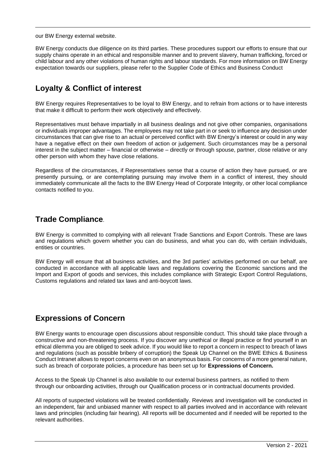our BW Energy external website.

BW Energy conducts due diligence on its third parties. These procedures support our efforts to ensure that our supply chains operate in an ethical and responsible manner and to prevent slavery, human trafficking, forced or child labour and any other violations of human rights and labour standards. For more information on BW Energy expectation towards our suppliers, please refer to the Supplier Code of Ethics and Business Conduct

# **Loyalty & Conflict of interest**

BW Energy requires Representatives to be loyal to BW Energy, and to refrain from actions or to have interests that make it difficult to perform their work objectively and effectively.

Representatives must behave impartially in all business dealings and not give other companies, organisations or individuals improper advantages. The employees may not take part in or seek to influence any decision under circumstances that can give rise to an actual or perceived conflict with BW Energy's interest or could in any way have a negative effect on their own freedom of action or judgement. Such circumstances may be a personal interest in the subject matter – financial or otherwise – directly or through spouse, partner, close relative or any other person with whom they have close relations.

Regardless of the circumstances, if Representatives sense that a course of action they have pursued, or are presently pursuing, or are contemplating pursuing may involve them in a conflict of interest, they should immediately communicate all the facts to the BW Energy Head of Corporate Integrity, or other local compliance contacts notified to you.

## **Trade Compliance**.

BW Energy is committed to complying with all relevant Trade Sanctions and Export Controls. These are laws and regulations which govern whether you can do business, and what you can do, with certain individuals, entities or countries.

BW Energy will ensure that all business activities, and the 3rd parties' activities performed on our behalf, are conducted in accordance with all applicable laws and regulations covering the Economic sanctions and the Import and Export of goods and services, this includes compliance with Strategic Export Control Regulations, Customs regulations and related tax laws and anti-boycott laws.

# **Expressions of Concern**

BW Energy wants to encourage open discussions about responsible conduct. This should take place through a constructive and non-threatening process. If you discover any unethical or illegal practice or find yourself in an ethical dilemma you are obliged to seek advice. If you would like to report a concern in respect to breach of laws and regulations (such as possible bribery of corruption) the Speak Up Channel on the BWE Ethics & Business Conduct Intranet allows to report concerns even on an anonymous basis. For concerns of a more general nature, such as breach of corporate policies, a procedure has been set up for **Expressions of Concern.**

Access to the Speak Up Channel is also available to our external business partners, as notified to them through our onboarding activities, through our Qualification process or in contractual documents provided.

All reports of suspected violations will be treated confidentially. Reviews and investigation will be conducted in an independent, fair and unbiased manner with respect to all parties involved and in accordance with relevant laws and principles (including fair hearing). All reports will be documented and if needed will be reported to the relevant authorities.